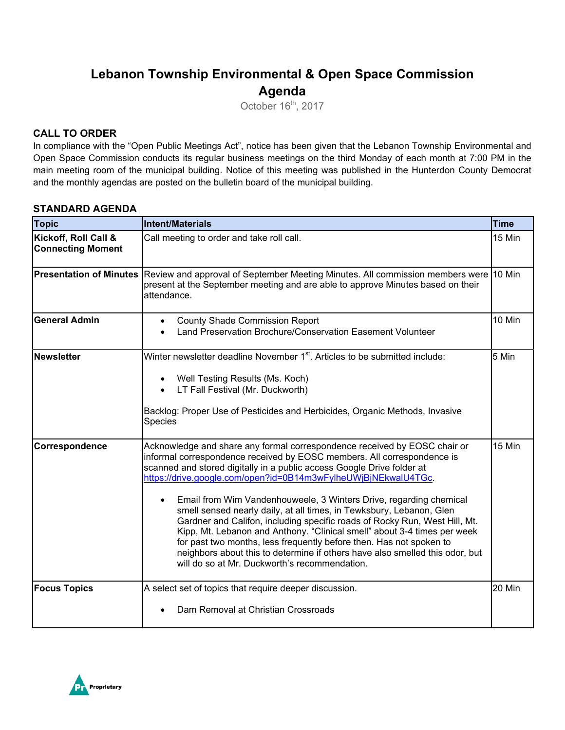## **Lebanon Township Environmental & Open Space Commission Agenda**

October 16<sup>th</sup>, 2017

### **CALL TO ORDER**

In compliance with the "Open Public Meetings Act", notice has been given that the Lebanon Township Environmental and Open Space Commission conducts its regular business meetings on the third Monday of each month at 7:00 PM in the main meeting room of the municipal building. Notice of this meeting was published in the Hunterdon County Democrat and the monthly agendas are posted on the bulletin board of the municipal building.

### **STANDARD AGENDA**

| <b>Topic</b>                                     | Intent/Materials                                                                                                                                                                                                                                                                                                                                                                                                                                                                                                                                                                                                                                                                                                                                                                                                              | <b>Time</b> |
|--------------------------------------------------|-------------------------------------------------------------------------------------------------------------------------------------------------------------------------------------------------------------------------------------------------------------------------------------------------------------------------------------------------------------------------------------------------------------------------------------------------------------------------------------------------------------------------------------------------------------------------------------------------------------------------------------------------------------------------------------------------------------------------------------------------------------------------------------------------------------------------------|-------------|
| Kickoff, Roll Call &<br><b>Connecting Moment</b> | Call meeting to order and take roll call.                                                                                                                                                                                                                                                                                                                                                                                                                                                                                                                                                                                                                                                                                                                                                                                     | 15 Min      |
| <b>Presentation of Minutes</b>                   | Review and approval of September Meeting Minutes. All commission members were 10 Min<br>present at the September meeting and are able to approve Minutes based on their<br>attendance.                                                                                                                                                                                                                                                                                                                                                                                                                                                                                                                                                                                                                                        |             |
| <b>General Admin</b>                             | <b>County Shade Commission Report</b><br>$\bullet$<br>Land Preservation Brochure/Conservation Easement Volunteer                                                                                                                                                                                                                                                                                                                                                                                                                                                                                                                                                                                                                                                                                                              | 10 Min      |
| <b>Newsletter</b>                                | Winter newsletter deadline November 1 <sup>st</sup> . Articles to be submitted include:<br>Well Testing Results (Ms. Koch)<br>$\bullet$<br>LT Fall Festival (Mr. Duckworth)<br>Backlog: Proper Use of Pesticides and Herbicides, Organic Methods, Invasive<br>Species                                                                                                                                                                                                                                                                                                                                                                                                                                                                                                                                                         | 5 Min       |
| Correspondence                                   | Acknowledge and share any formal correspondence received by EOSC chair or<br>informal correspondence received by EOSC members. All correspondence is<br>scanned and stored digitally in a public access Google Drive folder at<br>https://drive.google.com/open?id=0B14m3wFylheUWjBjNEkwalU4TGc.<br>Email from Wim Vandenhouweele, 3 Winters Drive, regarding chemical<br>$\bullet$<br>smell sensed nearly daily, at all times, in Tewksbury, Lebanon, Glen<br>Gardner and Califon, including specific roads of Rocky Run, West Hill, Mt.<br>Kipp, Mt. Lebanon and Anthony. "Clinical smell" about 3-4 times per week<br>for past two months, less frequently before then. Has not spoken to<br>neighbors about this to determine if others have also smelled this odor, but<br>will do so at Mr. Duckworth's recommendation. | 15 Min      |
| <b>Focus Topics</b>                              | A select set of topics that require deeper discussion.<br>Dam Removal at Christian Crossroads                                                                                                                                                                                                                                                                                                                                                                                                                                                                                                                                                                                                                                                                                                                                 | 20 Min      |

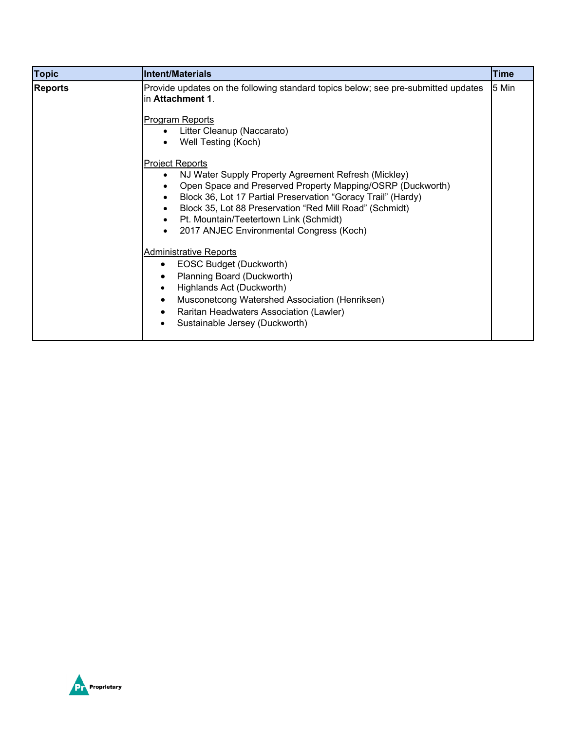| <b>Topic</b>   | <b>Intent/Materials</b>                                                                                                                                                                                                                                                                                                       | <b>Time</b> |
|----------------|-------------------------------------------------------------------------------------------------------------------------------------------------------------------------------------------------------------------------------------------------------------------------------------------------------------------------------|-------------|
| <b>Reports</b> | Provide updates on the following standard topics below; see pre-submitted updates<br>in Attachment 1.<br>Program Reports<br>Litter Cleanup (Naccarato)<br>Well Testing (Koch)<br><b>Project Reports</b><br>NJ Water Supply Property Agreement Refresh (Mickley)<br>Open Space and Preserved Property Mapping/OSRP (Duckworth) | 5 Min       |
|                | Block 36, Lot 17 Partial Preservation "Goracy Trail" (Hardy)<br>Block 35, Lot 88 Preservation "Red Mill Road" (Schmidt)<br>Pt. Mountain/Teetertown Link (Schmidt)<br>$\bullet$<br>2017 ANJEC Environmental Congress (Koch)                                                                                                    |             |
|                | <b>Administrative Reports</b><br>EOSC Budget (Duckworth)<br>$\bullet$<br>Planning Board (Duckworth)<br>$\bullet$<br>Highlands Act (Duckworth)<br>$\bullet$<br>Musconetcong Watershed Association (Henriksen)<br>$\bullet$<br>Raritan Headwaters Association (Lawler)<br>$\bullet$<br>Sustainable Jersey (Duckworth)<br>٠      |             |

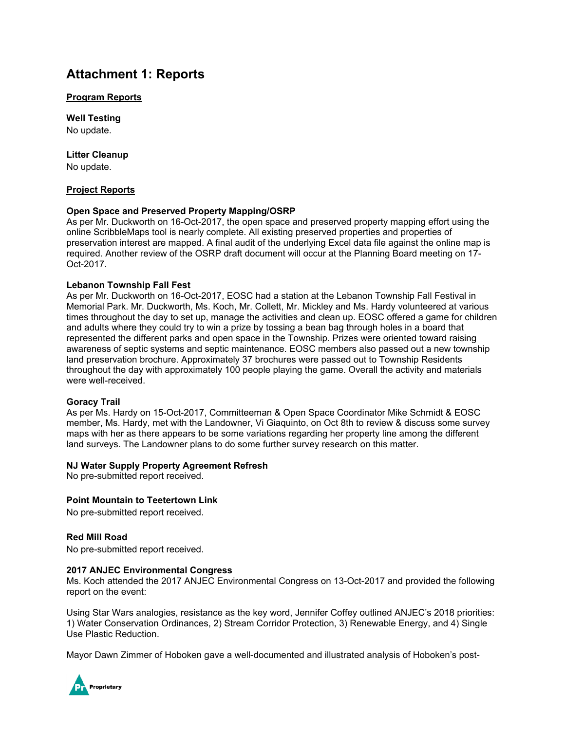## **Attachment 1: Reports**

#### **Program Reports**

**Well Testing** No update.

#### **Litter Cleanup**

No update.

#### **Project Reports**

#### **Open Space and Preserved Property Mapping/OSRP**

As per Mr. Duckworth on 16-Oct-2017, the open space and preserved property mapping effort using the online ScribbleMaps tool is nearly complete. All existing preserved properties and properties of preservation interest are mapped. A final audit of the underlying Excel data file against the online map is required. Another review of the OSRP draft document will occur at the Planning Board meeting on 17- Oct-2017.

#### **Lebanon Township Fall Fest**

As per Mr. Duckworth on 16-Oct-2017, EOSC had a station at the Lebanon Township Fall Festival in Memorial Park. Mr. Duckworth, Ms. Koch, Mr. Collett, Mr. Mickley and Ms. Hardy volunteered at various times throughout the day to set up, manage the activities and clean up. EOSC offered a game for children and adults where they could try to win a prize by tossing a bean bag through holes in a board that represented the different parks and open space in the Township. Prizes were oriented toward raising awareness of septic systems and septic maintenance. EOSC members also passed out a new township land preservation brochure. Approximately 37 brochures were passed out to Township Residents throughout the day with approximately 100 people playing the game. Overall the activity and materials were well-received.

#### **Goracy Trail**

As per Ms. Hardy on 15-Oct-2017, Committeeman & Open Space Coordinator Mike Schmidt & EOSC member, Ms. Hardy, met with the Landowner, Vi Giaquinto, on Oct 8th to review & discuss some survey maps with her as there appears to be some variations regarding her property line among the different land surveys. The Landowner plans to do some further survey research on this matter.

#### **NJ Water Supply Property Agreement Refresh**

No pre-submitted report received.

#### **Point Mountain to Teetertown Link**

No pre-submitted report received.

#### **Red Mill Road**

No pre-submitted report received.

#### **2017 ANJEC Environmental Congress**

Ms. Koch attended the 2017 ANJEC Environmental Congress on 13-Oct-2017 and provided the following report on the event:

Using Star Wars analogies, resistance as the key word, Jennifer Coffey outlined ANJEC's 2018 priorities: 1) Water Conservation Ordinances, 2) Stream Corridor Protection, 3) Renewable Energy, and 4) Single Use Plastic Reduction.

Mayor Dawn Zimmer of Hoboken gave a well-documented and illustrated analysis of Hoboken's post-

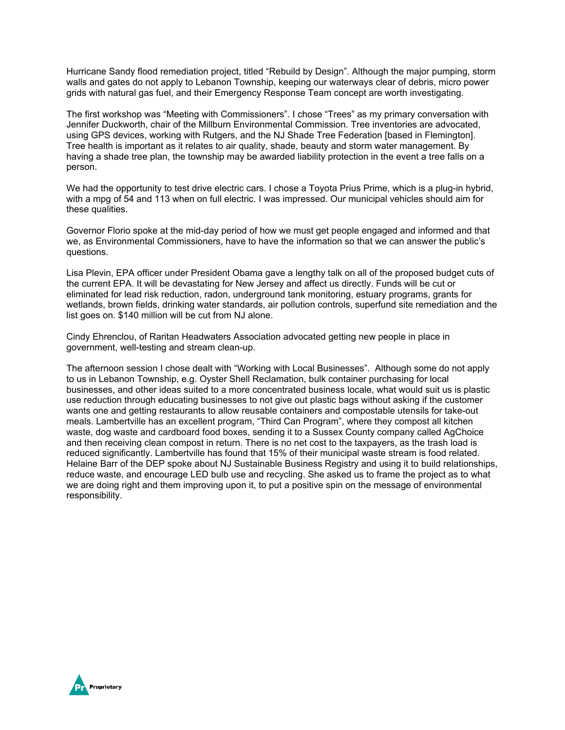Hurricane Sandy flood remediation project, titled "Rebuild by Design". Although the major pumping, storm walls and gates do not apply to Lebanon Township, keeping our waterways clear of debris, micro power grids with natural gas fuel, and their Emergency Response Team concept are worth investigating.

The first workshop was "Meeting with Commissioners". I chose "Trees" as my primary conversation with Jennifer Duckworth, chair of the Millburn Environmental Commission. Tree inventories are advocated, using GPS devices, working with Rutgers, and the NJ Shade Tree Federation [based in Flemington]. Tree health is important as it relates to air quality, shade, beauty and storm water management. By having a shade tree plan, the township may be awarded liability protection in the event a tree falls on a person.

We had the opportunity to test drive electric cars. I chose a Toyota Prius Prime, which is a plug-in hybrid, with a mpg of 54 and 113 when on full electric. I was impressed. Our municipal vehicles should aim for these qualities.

Governor Florio spoke at the mid-day period of how we must get people engaged and informed and that we, as Environmental Commissioners, have to have the information so that we can answer the public's questions.

Lisa Plevin, EPA officer under President Obama gave a lengthy talk on all of the proposed budget cuts of the current EPA. It will be devastating for New Jersey and affect us directly. Funds will be cut or eliminated for lead risk reduction, radon, underground tank monitoring, estuary programs, grants for wetlands, brown fields, drinking water standards, air pollution controls, superfund site remediation and the list goes on. \$140 million will be cut from NJ alone.

Cindy Ehrenclou, of Raritan Headwaters Association advocated getting new people in place in government, well-testing and stream clean-up.

The afternoon session I chose dealt with "Working with Local Businesses". Although some do not apply to us in Lebanon Township, e.g. Oyster Shell Reclamation, bulk container purchasing for local businesses, and other ideas suited to a more concentrated business locale, what would suit us is plastic use reduction through educating businesses to not give out plastic bags without asking if the customer wants one and getting restaurants to allow reusable containers and compostable utensils for take-out meals. Lambertville has an excellent program, "Third Can Program", where they compost all kitchen waste, dog waste and cardboard food boxes, sending it to a Sussex County company called AgChoice and then receiving clean compost in return. There is no net cost to the taxpayers, as the trash load is reduced significantly. Lambertville has found that 15% of their municipal waste stream is food related. Helaine Barr of the DEP spoke about NJ Sustainable Business Registry and using it to build relationships, reduce waste, and encourage LED bulb use and recycling. She asked us to frame the project as to what we are doing right and them improving upon it, to put a positive spin on the message of environmental responsibility.

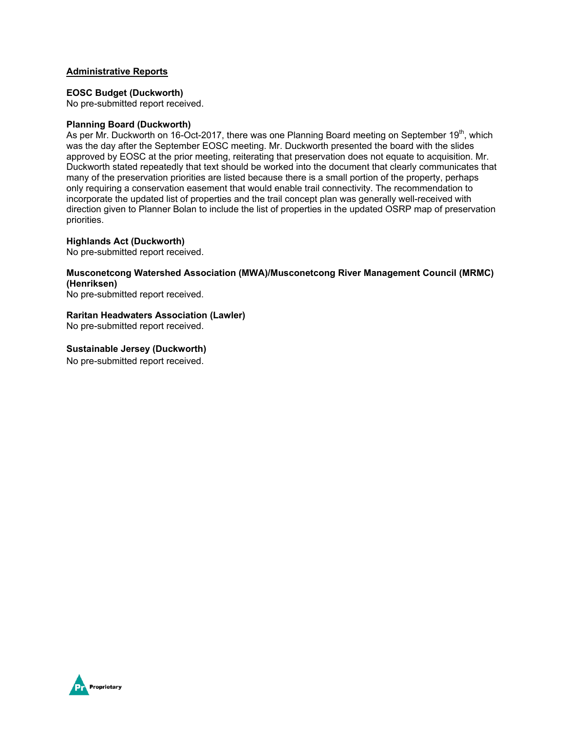#### **Administrative Reports**

#### **EOSC Budget (Duckworth)**

No pre-submitted report received.

#### **Planning Board (Duckworth)**

As per Mr. Duckworth on 16-Oct-2017, there was one Planning Board meeting on September 19<sup>th</sup>, which was the day after the September EOSC meeting. Mr. Duckworth presented the board with the slides approved by EOSC at the prior meeting, reiterating that preservation does not equate to acquisition. Mr. Duckworth stated repeatedly that text should be worked into the document that clearly communicates that many of the preservation priorities are listed because there is a small portion of the property, perhaps only requiring a conservation easement that would enable trail connectivity. The recommendation to incorporate the updated list of properties and the trail concept plan was generally well-received with direction given to Planner Bolan to include the list of properties in the updated OSRP map of preservation priorities.

#### **Highlands Act (Duckworth)**

No pre-submitted report received.

#### **Musconetcong Watershed Association (MWA)/Musconetcong River Management Council (MRMC) (Henriksen)**

No pre-submitted report received.

#### **Raritan Headwaters Association (Lawler)**

No pre-submitted report received.

#### **Sustainable Jersey (Duckworth)**

No pre-submitted report received.

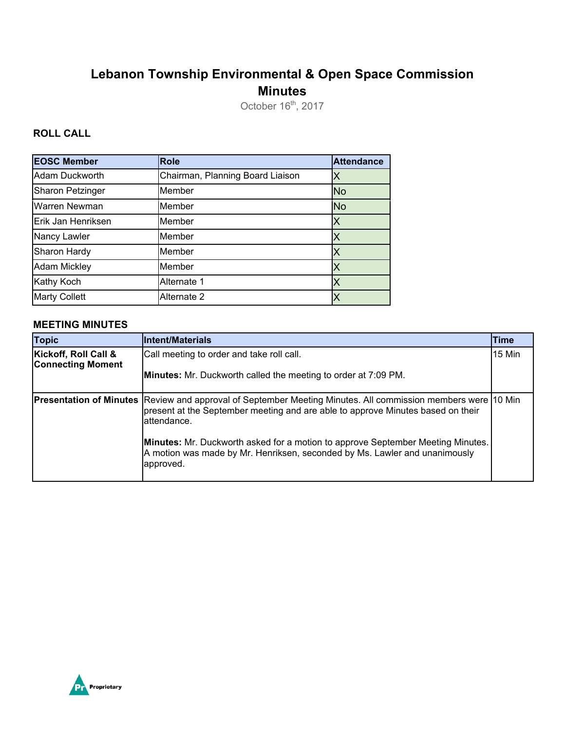# **Lebanon Township Environmental & Open Space Commission Minutes**

October  $16<sup>th</sup>$ , 2017

## **ROLL CALL**

| <b>EOSC Member</b>      | <b>Role</b>                      | <b>Attendance</b> |
|-------------------------|----------------------------------|-------------------|
| Adam Duckworth          | Chairman, Planning Board Liaison | Χ                 |
| <b>Sharon Petzinger</b> | Member                           | <b>No</b>         |
| Warren Newman           | Member                           | <b>No</b>         |
| Erik Jan Henriksen      | Member                           | Х                 |
| Nancy Lawler            | Member                           | Χ                 |
| Sharon Hardy            | Member                           | X                 |
| <b>Adam Mickley</b>     | Member                           | X                 |
| <b>Kathy Koch</b>       | Alternate 1                      | Χ                 |
| <b>Marty Collett</b>    | Alternate 2                      |                   |

#### **MEETING MINUTES**

| <b>Topic</b>                                     | Intent/Materials                                                                                                                                                                                                | Time   |
|--------------------------------------------------|-----------------------------------------------------------------------------------------------------------------------------------------------------------------------------------------------------------------|--------|
| Kickoff, Roll Call &<br><b>Connecting Moment</b> | Call meeting to order and take roll call.                                                                                                                                                                       | 15 Min |
|                                                  | <b>Minutes:</b> Mr. Duckworth called the meeting to order at 7:09 PM.                                                                                                                                           |        |
|                                                  | <b>Presentation of Minutes</b> Review and approval of September Meeting Minutes. All commission members were<br>present at the September meeting and are able to approve Minutes based on their<br>lattendance. | 10 Min |
|                                                  | Minutes: Mr. Duckworth asked for a motion to approve September Meeting Minutes.<br>A motion was made by Mr. Henriksen, seconded by Ms. Lawler and unanimously<br>approved.                                      |        |

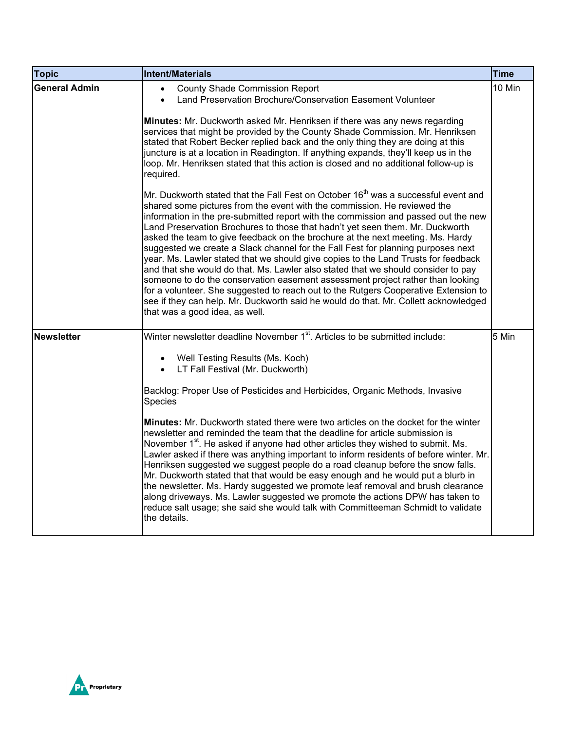| <b>Topic</b>         | <b>Intent/Materials</b>                                                                                                                                                                                                                                                                                                                                                                                                                                                                                                                                                                                                                                                                                                                                                                                                                                                                                                                                                                              | <b>Time</b> |
|----------------------|------------------------------------------------------------------------------------------------------------------------------------------------------------------------------------------------------------------------------------------------------------------------------------------------------------------------------------------------------------------------------------------------------------------------------------------------------------------------------------------------------------------------------------------------------------------------------------------------------------------------------------------------------------------------------------------------------------------------------------------------------------------------------------------------------------------------------------------------------------------------------------------------------------------------------------------------------------------------------------------------------|-------------|
| <b>General Admin</b> | <b>County Shade Commission Report</b><br>Land Preservation Brochure/Conservation Easement Volunteer<br>$\bullet$                                                                                                                                                                                                                                                                                                                                                                                                                                                                                                                                                                                                                                                                                                                                                                                                                                                                                     | 10 Min      |
|                      | Minutes: Mr. Duckworth asked Mr. Henriksen if there was any news regarding<br>services that might be provided by the County Shade Commission. Mr. Henriksen<br>stated that Robert Becker replied back and the only thing they are doing at this<br>juncture is at a location in Readington. If anything expands, they'll keep us in the<br>loop. Mr. Henriksen stated that this action is closed and no additional follow-up is<br>required.                                                                                                                                                                                                                                                                                                                                                                                                                                                                                                                                                         |             |
|                      | Mr. Duckworth stated that the Fall Fest on October 16 <sup>th</sup> was a successful event and<br>shared some pictures from the event with the commission. He reviewed the<br>information in the pre-submitted report with the commission and passed out the new<br>Land Preservation Brochures to those that hadn't yet seen them. Mr. Duckworth<br>asked the team to give feedback on the brochure at the next meeting. Ms. Hardy<br>suggested we create a Slack channel for the Fall Fest for planning purposes next<br>year. Ms. Lawler stated that we should give copies to the Land Trusts for feedback<br>and that she would do that. Ms. Lawler also stated that we should consider to pay<br>someone to do the conservation easement assessment project rather than looking<br>for a volunteer. She suggested to reach out to the Rutgers Cooperative Extension to<br>see if they can help. Mr. Duckworth said he would do that. Mr. Collett acknowledged<br>that was a good idea, as well. |             |
| <b>Newsletter</b>    | Winter newsletter deadline November 1 <sup>st</sup> . Articles to be submitted include:                                                                                                                                                                                                                                                                                                                                                                                                                                                                                                                                                                                                                                                                                                                                                                                                                                                                                                              | 5 Min       |
|                      | Well Testing Results (Ms. Koch)<br>$\bullet$<br>LT Fall Festival (Mr. Duckworth)<br>$\bullet$                                                                                                                                                                                                                                                                                                                                                                                                                                                                                                                                                                                                                                                                                                                                                                                                                                                                                                        |             |
|                      | Backlog: Proper Use of Pesticides and Herbicides, Organic Methods, Invasive<br>Species                                                                                                                                                                                                                                                                                                                                                                                                                                                                                                                                                                                                                                                                                                                                                                                                                                                                                                               |             |
|                      | Minutes: Mr. Duckworth stated there were two articles on the docket for the winter<br>newsletter and reminded the team that the deadline for article submission is<br>November 1 <sup>st</sup> . He asked if anyone had other articles they wished to submit. Ms.<br>Lawler asked if there was anything important to inform residents of before winter. Mr.<br>Henriksen suggested we suggest people do a road cleanup before the snow falls.<br>Mr. Duckworth stated that that would be easy enough and he would put a blurb in<br>the newsletter. Ms. Hardy suggested we promote leaf removal and brush clearance<br>along driveways. Ms. Lawler suggested we promote the actions DPW has taken to<br>reduce salt usage; she said she would talk with Committeeman Schmidt to validate<br>the details.                                                                                                                                                                                             |             |

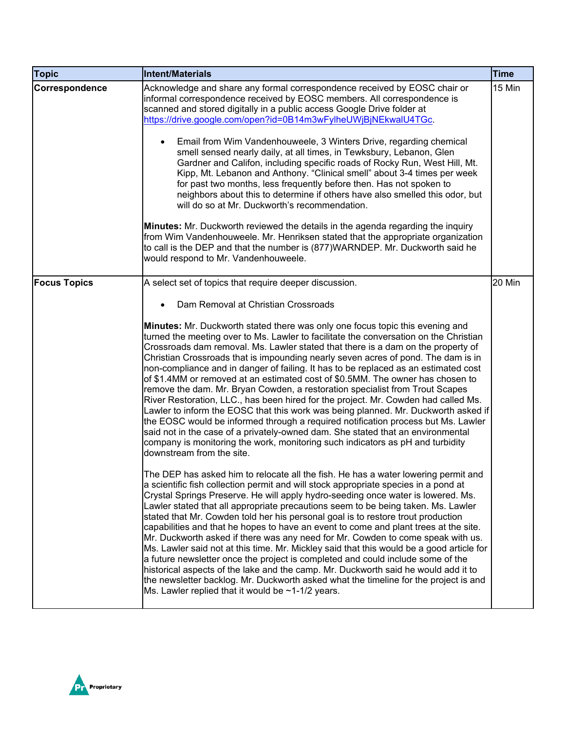| <b>Topic</b>        | Intent/Materials                                                                                                                                                                                                                                                                                                                                                                                                                                                                                                                                                                                                                                                                                                                                                                                                                                                                                                                                                                                                                                                            | Time   |
|---------------------|-----------------------------------------------------------------------------------------------------------------------------------------------------------------------------------------------------------------------------------------------------------------------------------------------------------------------------------------------------------------------------------------------------------------------------------------------------------------------------------------------------------------------------------------------------------------------------------------------------------------------------------------------------------------------------------------------------------------------------------------------------------------------------------------------------------------------------------------------------------------------------------------------------------------------------------------------------------------------------------------------------------------------------------------------------------------------------|--------|
| Correspondence      | Acknowledge and share any formal correspondence received by EOSC chair or<br>informal correspondence received by EOSC members. All correspondence is<br>scanned and stored digitally in a public access Google Drive folder at<br>https://drive.google.com/open?id=0B14m3wFylheUWjBjNEkwalU4TGc.<br>Email from Wim Vandenhouweele, 3 Winters Drive, regarding chemical<br>$\bullet$<br>smell sensed nearly daily, at all times, in Tewksbury, Lebanon, Glen<br>Gardner and Califon, including specific roads of Rocky Run, West Hill, Mt.<br>Kipp, Mt. Lebanon and Anthony. "Clinical smell" about 3-4 times per week<br>for past two months, less frequently before then. Has not spoken to<br>neighbors about this to determine if others have also smelled this odor, but<br>will do so at Mr. Duckworth's recommendation.<br>Minutes: Mr. Duckworth reviewed the details in the agenda regarding the inquiry<br>from Wim Vandenhouweele. Mr. Henriksen stated that the appropriate organization                                                                         | 15 Min |
|                     | to call is the DEP and that the number is (877)WARNDEP. Mr. Duckworth said he<br>would respond to Mr. Vandenhouweele.                                                                                                                                                                                                                                                                                                                                                                                                                                                                                                                                                                                                                                                                                                                                                                                                                                                                                                                                                       |        |
| <b>Focus Topics</b> | A select set of topics that require deeper discussion.                                                                                                                                                                                                                                                                                                                                                                                                                                                                                                                                                                                                                                                                                                                                                                                                                                                                                                                                                                                                                      | 20 Min |
|                     | Dam Removal at Christian Crossroads                                                                                                                                                                                                                                                                                                                                                                                                                                                                                                                                                                                                                                                                                                                                                                                                                                                                                                                                                                                                                                         |        |
|                     | Minutes: Mr. Duckworth stated there was only one focus topic this evening and<br>turned the meeting over to Ms. Lawler to facilitate the conversation on the Christian<br>Crossroads dam removal. Ms. Lawler stated that there is a dam on the property of<br>Christian Crossroads that is impounding nearly seven acres of pond. The dam is in<br>non-compliance and in danger of failing. It has to be replaced as an estimated cost<br>of \$1.4MM or removed at an estimated cost of \$0.5MM. The owner has chosen to<br>remove the dam. Mr. Bryan Cowden, a restoration specialist from Trout Scapes<br>River Restoration, LLC., has been hired for the project. Mr. Cowden had called Ms.<br>Lawler to inform the EOSC that this work was being planned. Mr. Duckworth asked if<br>the EOSC would be informed through a required notification process but Ms. Lawler<br>said not in the case of a privately-owned dam. She stated that an environmental<br>company is monitoring the work, monitoring such indicators as pH and turbidity<br>downstream from the site. |        |
|                     | The DEP has asked him to relocate all the fish. He has a water lowering permit and<br>a scientific fish collection permit and will stock appropriate species in a pond at<br>Crystal Springs Preserve. He will apply hydro-seeding once water is lowered. Ms.<br>Lawler stated that all appropriate precautions seem to be being taken. Ms. Lawler<br>stated that Mr. Cowden told her his personal goal is to restore trout production<br>capabilities and that he hopes to have an event to come and plant trees at the site.<br>Mr. Duckworth asked if there was any need for Mr. Cowden to come speak with us.<br>Ms. Lawler said not at this time. Mr. Mickley said that this would be a good article for<br>a future newsletter once the project is completed and could include some of the<br>historical aspects of the lake and the camp. Mr. Duckworth said he would add it to<br>the newsletter backlog. Mr. Duckworth asked what the timeline for the project is and<br>Ms. Lawler replied that it would be $\sim$ 1-1/2 years.                                   |        |